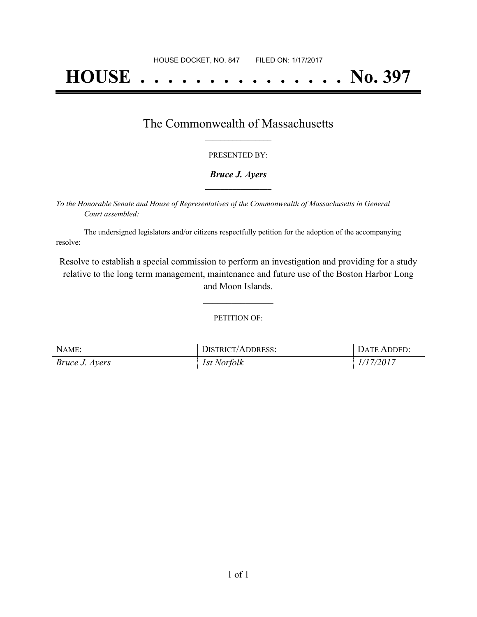# **HOUSE . . . . . . . . . . . . . . . No. 397**

### The Commonwealth of Massachusetts **\_\_\_\_\_\_\_\_\_\_\_\_\_\_\_\_\_**

#### PRESENTED BY:

#### *Bruce J. Ayers* **\_\_\_\_\_\_\_\_\_\_\_\_\_\_\_\_\_**

*To the Honorable Senate and House of Representatives of the Commonwealth of Massachusetts in General Court assembled:*

The undersigned legislators and/or citizens respectfully petition for the adoption of the accompanying resolve:

Resolve to establish a special commission to perform an investigation and providing for a study relative to the long term management, maintenance and future use of the Boston Harbor Long and Moon Islands.

PETITION OF:

**\_\_\_\_\_\_\_\_\_\_\_\_\_\_\_**

| NAME:                 | DISTRICT/ADDRESS: | DATE ADDED: |
|-----------------------|-------------------|-------------|
| <i>Bruce J. Ayers</i> | 1st Norfolk       | 1/17/2017   |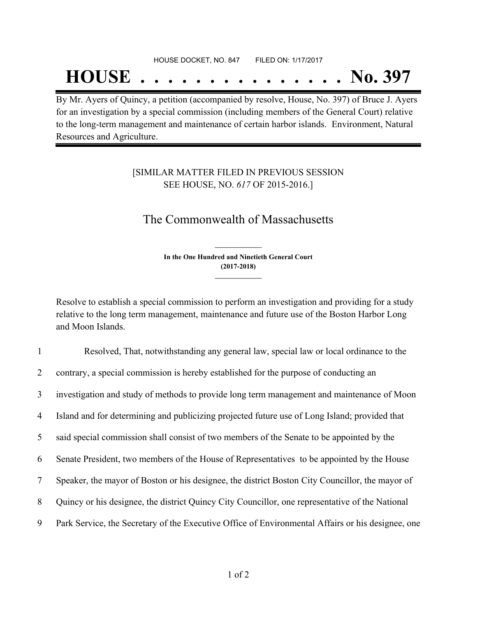### HOUSE DOCKET, NO. 847 FILED ON: 1/17/2017

## **HOUSE . . . . . . . . . . . . . . . No. 397**

By Mr. Ayers of Quincy, a petition (accompanied by resolve, House, No. 397) of Bruce J. Ayers for an investigation by a special commission (including members of the General Court) relative to the long-term management and maintenance of certain harbor islands. Environment, Natural Resources and Agriculture.

### [SIMILAR MATTER FILED IN PREVIOUS SESSION SEE HOUSE, NO. *617* OF 2015-2016.]

## The Commonwealth of Massachusetts

**In the One Hundred and Ninetieth General Court (2017-2018) \_\_\_\_\_\_\_\_\_\_\_\_\_\_\_**

**\_\_\_\_\_\_\_\_\_\_\_\_\_\_\_**

Resolve to establish a special commission to perform an investigation and providing for a study relative to the long term management, maintenance and future use of the Boston Harbor Long and Moon Islands.

| $\mathbf{1}$    | Resolved, That, notwithstanding any general law, special law or local ordinance to the            |
|-----------------|---------------------------------------------------------------------------------------------------|
| $\overline{2}$  | contrary, a special commission is hereby established for the purpose of conducting an             |
| $\overline{3}$  | investigation and study of methods to provide long term management and maintenance of Moon        |
| 4               | Island and for determining and publicizing projected future use of Long Island; provided that     |
| 5               | said special commission shall consist of two members of the Senate to be appointed by the         |
| 6               | Senate President, two members of the House of Representatives to be appointed by the House        |
| $7\overline{ }$ | Speaker, the mayor of Boston or his designee, the district Boston City Councillor, the mayor of   |
| 8               | Quincy or his designee, the district Quincy City Councillor, one representative of the National   |
| 9               | Park Service, the Secretary of the Executive Office of Environmental Affairs or his designee, one |